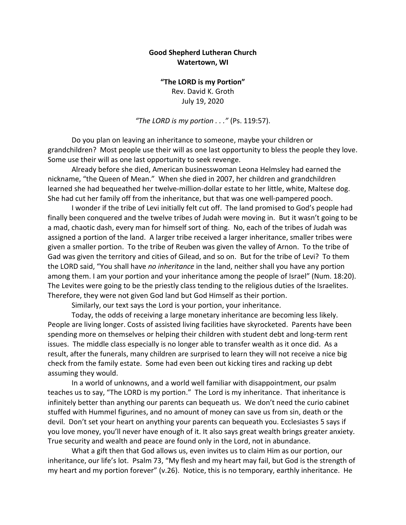## **Good Shepherd Lutheran Church Watertown, WI**

**"The LORD is my Portion"** Rev. David K. Groth July 19, 2020

*"The LORD is my portion . . ."* (Ps. 119:57).

Do you plan on leaving an inheritance to someone, maybe your children or grandchildren? Most people use their will as one last opportunity to bless the people they love. Some use their will as one last opportunity to seek revenge.

Already before she died, American businesswoman Leona Helmsley had earned the nickname, "the Queen of Mean." When she died in 2007, her children and grandchildren learned she had bequeathed her twelve-million-dollar estate to her little, white, Maltese dog. She had cut her family off from the inheritance, but that was one well-pampered pooch.

I wonder if the tribe of Levi initially felt cut off. The land promised to God's people had finally been conquered and the twelve tribes of Judah were moving in. But it wasn't going to be a mad, chaotic dash, every man for himself sort of thing. No, each of the tribes of Judah was assigned a portion of the land. A larger tribe received a larger inheritance, smaller tribes were given a smaller portion. To the tribe of Reuben was given the valley of Arnon. To the tribe of Gad was given the territory and cities of Gilead, and so on. But for the tribe of Levi? To them the LORD said, "You shall have *no inheritance* in the land, neither shall you have any portion among them. I am your portion and your inheritance among the people of Israel" (Num. 18:20). The Levites were going to be the priestly class tending to the religious duties of the Israelites. Therefore, they were not given God land but God Himself as their portion.

Similarly, our text says the Lord is your portion, your inheritance.

Today, the odds of receiving a large monetary inheritance are becoming less likely. People are living longer. Costs of assisted living facilities have skyrocketed. Parents have been spending more on themselves or helping their children with student debt and long-term rent issues. The middle class especially is no longer able to transfer wealth as it once did. As a result, after the funerals, many children are surprised to learn they will not receive a nice big check from the family estate. Some had even been out kicking tires and racking up debt assuming they would.

In a world of unknowns, and a world well familiar with disappointment, our psalm teaches us to say, "The LORD is my portion." The Lord is my inheritance. That inheritance is infinitely better than anything our parents can bequeath us. We don't need the curio cabinet stuffed with Hummel figurines, and no amount of money can save us from sin, death or the devil. Don't set your heart on anything your parents can bequeath you. Ecclesiastes 5 says if you love money, you'll never have enough of it. It also says great wealth brings greater anxiety. True security and wealth and peace are found only in the Lord, not in abundance.

What a gift then that God allows us, even invites us to claim Him as our portion, our inheritance, our life's lot. Psalm 73, "My flesh and my heart may fail, but God is the strength of my heart and my portion forever" (v.26). Notice, this is no temporary, earthly inheritance. He